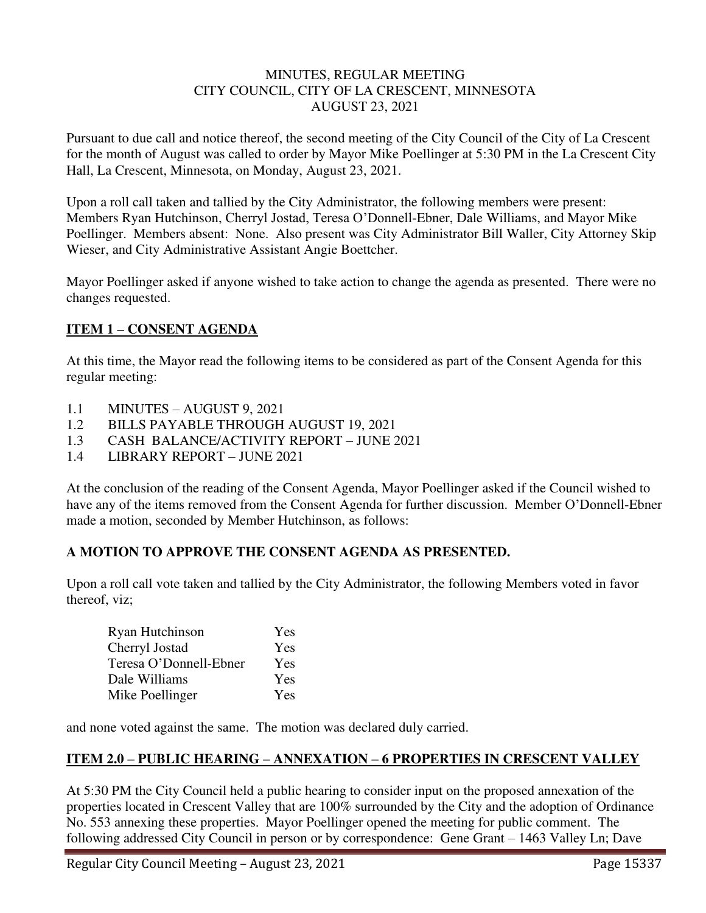### MINUTES, REGULAR MEETING CITY COUNCIL, CITY OF LA CRESCENT, MINNESOTA AUGUST 23, 2021

Pursuant to due call and notice thereof, the second meeting of the City Council of the City of La Crescent for the month of August was called to order by Mayor Mike Poellinger at 5:30 PM in the La Crescent City Hall, La Crescent, Minnesota, on Monday, August 23, 2021.

Upon a roll call taken and tallied by the City Administrator, the following members were present: Members Ryan Hutchinson, Cherryl Jostad, Teresa O'Donnell-Ebner, Dale Williams, and Mayor Mike Poellinger. Members absent: None. Also present was City Administrator Bill Waller, City Attorney Skip Wieser, and City Administrative Assistant Angie Boettcher.

Mayor Poellinger asked if anyone wished to take action to change the agenda as presented. There were no changes requested.

# **ITEM 1 – CONSENT AGENDA**

At this time, the Mayor read the following items to be considered as part of the Consent Agenda for this regular meeting:

- 1.1 MINUTES AUGUST 9, 2021
- 1.2 BILLS PAYABLE THROUGH AUGUST 19, 2021
- 1.3 CASH BALANCE/ACTIVITY REPORT JUNE 2021
- 1.4 LIBRARY REPORT JUNE 2021

At the conclusion of the reading of the Consent Agenda, Mayor Poellinger asked if the Council wished to have any of the items removed from the Consent Agenda for further discussion. Member O'Donnell-Ebner made a motion, seconded by Member Hutchinson, as follows:

## **A MOTION TO APPROVE THE CONSENT AGENDA AS PRESENTED.**

Upon a roll call vote taken and tallied by the City Administrator, the following Members voted in favor thereof, viz;

| Ryan Hutchinson        | Yes |
|------------------------|-----|
| Cherryl Jostad         | Yes |
| Teresa O'Donnell-Ebner | Yes |
| Dale Williams          | Yes |
| Mike Poellinger        | Yes |

and none voted against the same. The motion was declared duly carried.

## **ITEM 2.0 – PUBLIC HEARING – ANNEXATION – 6 PROPERTIES IN CRESCENT VALLEY**

At 5:30 PM the City Council held a public hearing to consider input on the proposed annexation of the properties located in Crescent Valley that are 100% surrounded by the City and the adoption of Ordinance No. 553 annexing these properties. Mayor Poellinger opened the meeting for public comment. The following addressed City Council in person or by correspondence: Gene Grant – 1463 Valley Ln; Dave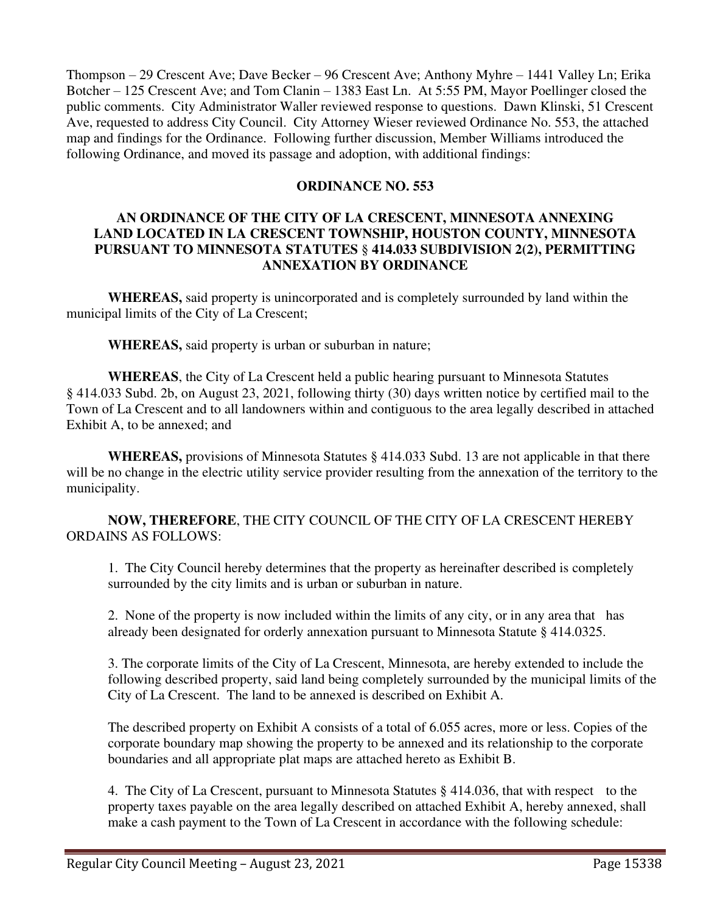Thompson – 29 Crescent Ave; Dave Becker – 96 Crescent Ave; Anthony Myhre – 1441 Valley Ln; Erika Botcher – 125 Crescent Ave; and Tom Clanin – 1383 East Ln. At 5:55 PM, Mayor Poellinger closed the public comments. City Administrator Waller reviewed response to questions. Dawn Klinski, 51 Crescent Ave, requested to address City Council. City Attorney Wieser reviewed Ordinance No. 553, the attached map and findings for the Ordinance. Following further discussion, Member Williams introduced the following Ordinance, and moved its passage and adoption, with additional findings:

### **ORDINANCE NO. 553**

## **AN ORDINANCE OF THE CITY OF LA CRESCENT, MINNESOTA ANNEXING LAND LOCATED IN LA CRESCENT TOWNSHIP, HOUSTON COUNTY, MINNESOTA PURSUANT TO MINNESOTA STATUTES** § **414.033 SUBDIVISION 2(2), PERMITTING ANNEXATION BY ORDINANCE**

 **WHEREAS,** said property is unincorporated and is completely surrounded by land within the municipal limits of the City of La Crescent;

 **WHEREAS,** said property is urban or suburban in nature;

**WHEREAS**, the City of La Crescent held a public hearing pursuant to Minnesota Statutes § 414.033 Subd. 2b, on August 23, 2021, following thirty (30) days written notice by certified mail to the Town of La Crescent and to all landowners within and contiguous to the area legally described in attached Exhibit A, to be annexed; and

 **WHEREAS,** provisions of Minnesota Statutes § 414.033 Subd. 13 are not applicable in that there will be no change in the electric utility service provider resulting from the annexation of the territory to the municipality.

## **NOW, THEREFORE**, THE CITY COUNCIL OF THE CITY OF LA CRESCENT HEREBY ORDAINS AS FOLLOWS:

1. The City Council hereby determines that the property as hereinafter described is completely surrounded by the city limits and is urban or suburban in nature.

2. None of the property is now included within the limits of any city, or in any area that has already been designated for orderly annexation pursuant to Minnesota Statute § 414.0325.

3. The corporate limits of the City of La Crescent, Minnesota, are hereby extended to include the following described property, said land being completely surrounded by the municipal limits of the City of La Crescent. The land to be annexed is described on Exhibit A.

The described property on Exhibit A consists of a total of 6.055 acres, more or less. Copies of the corporate boundary map showing the property to be annexed and its relationship to the corporate boundaries and all appropriate plat maps are attached hereto as Exhibit B.

4. The City of La Crescent, pursuant to Minnesota Statutes § 414.036, that with respect to the property taxes payable on the area legally described on attached Exhibit A, hereby annexed, shall make a cash payment to the Town of La Crescent in accordance with the following schedule: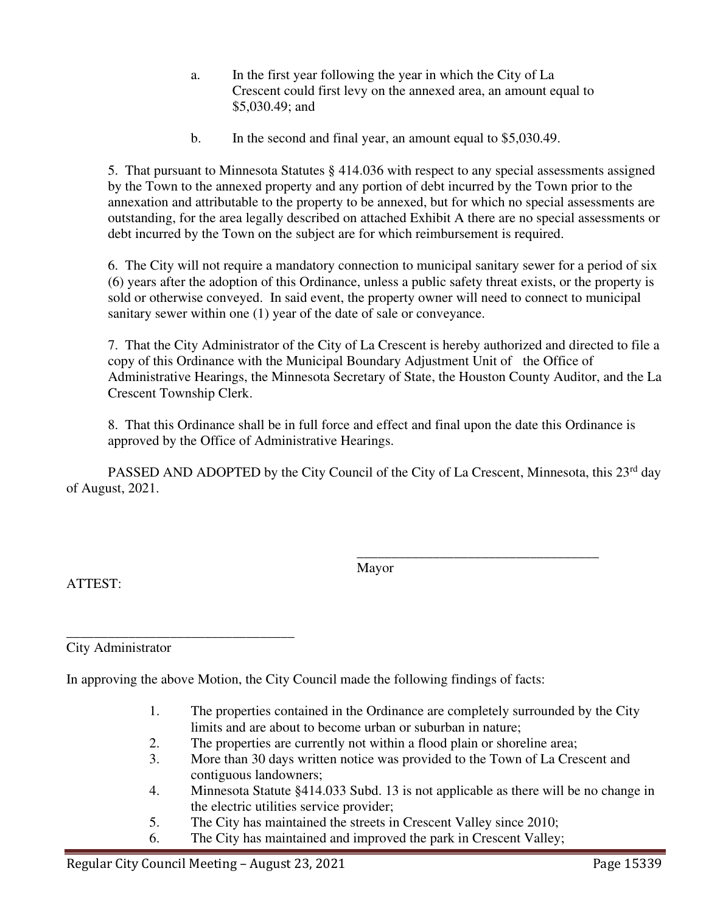- a. In the first year following the year in which the City of La Crescent could first levy on the annexed area, an amount equal to \$5,030.49; and
- b. In the second and final year, an amount equal to \$5,030.49.

5. That pursuant to Minnesota Statutes § 414.036 with respect to any special assessments assigned by the Town to the annexed property and any portion of debt incurred by the Town prior to the annexation and attributable to the property to be annexed, but for which no special assessments are outstanding, for the area legally described on attached Exhibit A there are no special assessments or debt incurred by the Town on the subject are for which reimbursement is required.

6. The City will not require a mandatory connection to municipal sanitary sewer for a period of six (6) years after the adoption of this Ordinance, unless a public safety threat exists, or the property is sold or otherwise conveyed. In said event, the property owner will need to connect to municipal sanitary sewer within one (1) year of the date of sale or conveyance.

7. That the City Administrator of the City of La Crescent is hereby authorized and directed to file a copy of this Ordinance with the Municipal Boundary Adjustment Unit of the Office of Administrative Hearings, the Minnesota Secretary of State, the Houston County Auditor, and the La Crescent Township Clerk.

8. That this Ordinance shall be in full force and effect and final upon the date this Ordinance is approved by the Office of Administrative Hearings.

PASSED AND ADOPTED by the City Council of the City of La Crescent, Minnesota, this 23<sup>rd</sup> day of August, 2021.

 $\overline{\phantom{a}}$  , which is a set of the set of the set of the set of the set of the set of the set of the set of the set of the set of the set of the set of the set of the set of the set of the set of the set of the set of th

Mayor

ATTEST:

\_\_\_\_\_\_\_\_\_\_\_\_\_\_\_\_\_\_\_\_\_\_\_\_\_\_\_\_\_\_\_\_\_ City Administrator

In approving the above Motion, the City Council made the following findings of facts:

- 1. The properties contained in the Ordinance are completely surrounded by the City limits and are about to become urban or suburban in nature;
- 2. The properties are currently not within a flood plain or shoreline area;
- 3. More than 30 days written notice was provided to the Town of La Crescent and contiguous landowners;
- 4. Minnesota Statute §414.033 Subd. 13 is not applicable as there will be no change in the electric utilities service provider;
- 5. The City has maintained the streets in Crescent Valley since 2010;
- 6. The City has maintained and improved the park in Crescent Valley;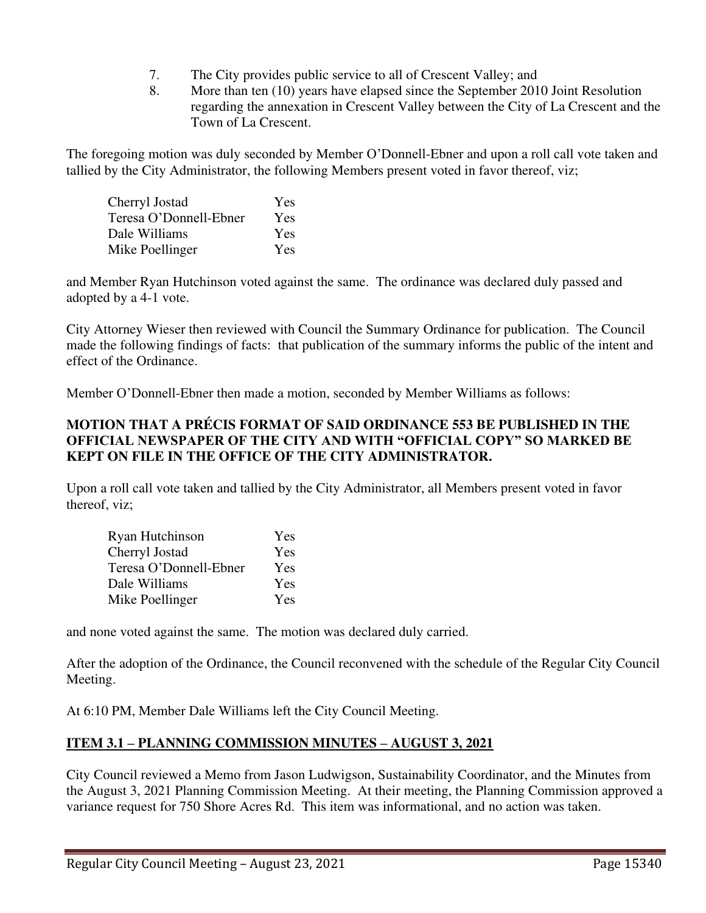- 7. The City provides public service to all of Crescent Valley; and
- 8. More than ten (10) years have elapsed since the September 2010 Joint Resolution regarding the annexation in Crescent Valley between the City of La Crescent and the Town of La Crescent.

The foregoing motion was duly seconded by Member O'Donnell-Ebner and upon a roll call vote taken and tallied by the City Administrator, the following Members present voted in favor thereof, viz;

| Cherryl Jostad         | Yes        |
|------------------------|------------|
| Teresa O'Donnell-Ebner | Yes        |
| Dale Williams          | Yes        |
| Mike Poellinger        | <b>Yes</b> |

and Member Ryan Hutchinson voted against the same. The ordinance was declared duly passed and adopted by a 4-1 vote.

City Attorney Wieser then reviewed with Council the Summary Ordinance for publication. The Council made the following findings of facts: that publication of the summary informs the public of the intent and effect of the Ordinance.

Member O'Donnell-Ebner then made a motion, seconded by Member Williams as follows:

## **MOTION THAT A PRÉCIS FORMAT OF SAID ORDINANCE 553 BE PUBLISHED IN THE OFFICIAL NEWSPAPER OF THE CITY AND WITH "OFFICIAL COPY" SO MARKED BE KEPT ON FILE IN THE OFFICE OF THE CITY ADMINISTRATOR.**

Upon a roll call vote taken and tallied by the City Administrator, all Members present voted in favor thereof, viz;

| Ryan Hutchinson        | Yes |
|------------------------|-----|
| Cherryl Jostad         | Yes |
| Teresa O'Donnell-Ebner | Yes |
| Dale Williams          | Yes |
| Mike Poellinger        | Yes |

and none voted against the same. The motion was declared duly carried.

After the adoption of the Ordinance, the Council reconvened with the schedule of the Regular City Council Meeting.

At 6:10 PM, Member Dale Williams left the City Council Meeting.

# **ITEM 3.1 – PLANNING COMMISSION MINUTES – AUGUST 3, 2021**

City Council reviewed a Memo from Jason Ludwigson, Sustainability Coordinator, and the Minutes from the August 3, 2021 Planning Commission Meeting. At their meeting, the Planning Commission approved a variance request for 750 Shore Acres Rd. This item was informational, and no action was taken.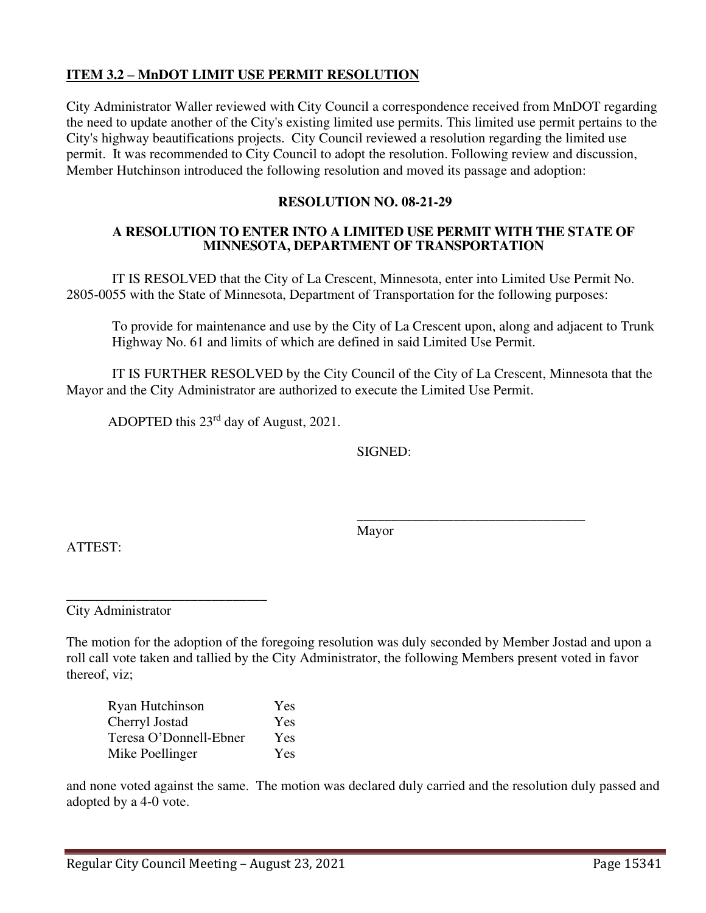## **ITEM 3.2 – MnDOT LIMIT USE PERMIT RESOLUTION**

City Administrator Waller reviewed with City Council a correspondence received from MnDOT regarding the need to update another of the City's existing limited use permits. This limited use permit pertains to the City's highway beautifications projects. City Council reviewed a resolution regarding the limited use permit. It was recommended to City Council to adopt the resolution. Following review and discussion, Member Hutchinson introduced the following resolution and moved its passage and adoption:

#### **RESOLUTION NO. 08-21-29**

#### **A RESOLUTION TO ENTER INTO A LIMITED USE PERMIT WITH THE STATE OF MINNESOTA, DEPARTMENT OF TRANSPORTATION**

IT IS RESOLVED that the City of La Crescent, Minnesota, enter into Limited Use Permit No. 2805-0055 with the State of Minnesota, Department of Transportation for the following purposes:

To provide for maintenance and use by the City of La Crescent upon, along and adjacent to Trunk Highway No. 61 and limits of which are defined in said Limited Use Permit.

IT IS FURTHER RESOLVED by the City Council of the City of La Crescent, Minnesota that the Mayor and the City Administrator are authorized to execute the Limited Use Permit.

ADOPTED this 23rd day of August, 2021.

SIGNED:

 $\overline{\phantom{a}}$  , and the contract of the contract of the contract of the contract of the contract of the contract of the contract of the contract of the contract of the contract of the contract of the contract of the contrac Mayor

ATTEST:

\_\_\_\_\_\_\_\_\_\_\_\_\_\_\_\_\_\_\_\_\_\_\_\_\_\_\_\_\_ City Administrator

The motion for the adoption of the foregoing resolution was duly seconded by Member Jostad and upon a roll call vote taken and tallied by the City Administrator, the following Members present voted in favor thereof, viz;

| Ryan Hutchinson        | <b>Yes</b> |
|------------------------|------------|
| Cherryl Jostad         | Yes        |
| Teresa O'Donnell-Ebner | Yes        |
| Mike Poellinger        | Yes        |

and none voted against the same. The motion was declared duly carried and the resolution duly passed and adopted by a 4-0 vote.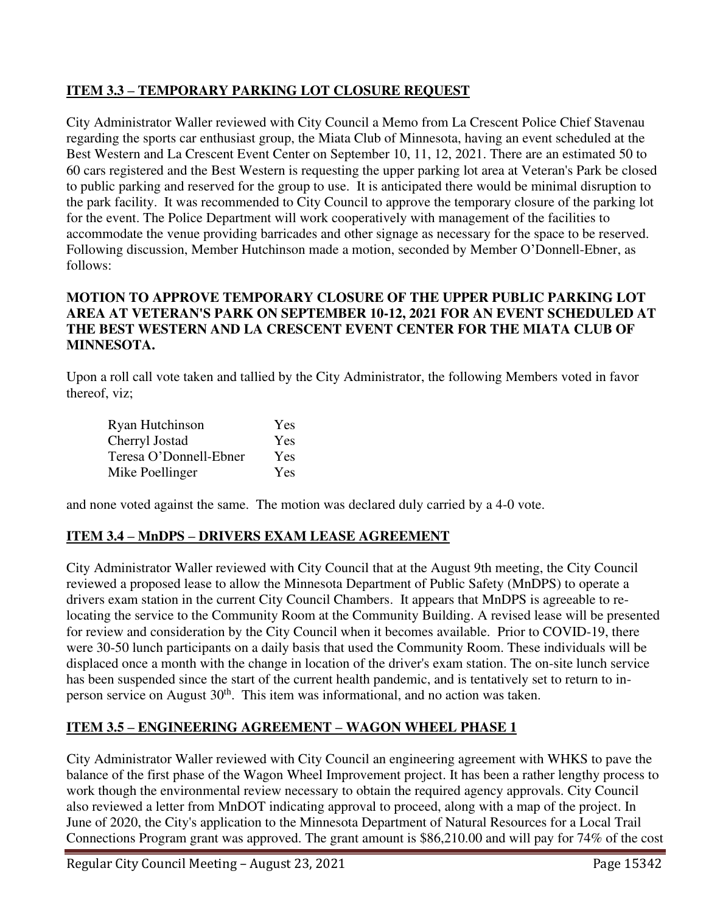# **ITEM 3.3 – TEMPORARY PARKING LOT CLOSURE REQUEST**

City Administrator Waller reviewed with City Council a Memo from La Crescent Police Chief Stavenau regarding the sports car enthusiast group, the Miata Club of Minnesota, having an event scheduled at the Best Western and La Crescent Event Center on September 10, 11, 12, 2021. There are an estimated 50 to 60 cars registered and the Best Western is requesting the upper parking lot area at Veteran's Park be closed to public parking and reserved for the group to use. It is anticipated there would be minimal disruption to the park facility. It was recommended to City Council to approve the temporary closure of the parking lot for the event. The Police Department will work cooperatively with management of the facilities to accommodate the venue providing barricades and other signage as necessary for the space to be reserved. Following discussion, Member Hutchinson made a motion, seconded by Member O'Donnell-Ebner, as follows:

## **MOTION TO APPROVE TEMPORARY CLOSURE OF THE UPPER PUBLIC PARKING LOT AREA AT VETERAN'S PARK ON SEPTEMBER 10-12, 2021 FOR AN EVENT SCHEDULED AT THE BEST WESTERN AND LA CRESCENT EVENT CENTER FOR THE MIATA CLUB OF MINNESOTA.**

Upon a roll call vote taken and tallied by the City Administrator, the following Members voted in favor thereof, viz;

| Ryan Hutchinson        | Yes |
|------------------------|-----|
| Cherryl Jostad         | Yes |
| Teresa O'Donnell-Ebner | Yes |
| Mike Poellinger        | Yes |

and none voted against the same. The motion was declared duly carried by a 4-0 vote.

# **ITEM 3.4 – MnDPS – DRIVERS EXAM LEASE AGREEMENT**

City Administrator Waller reviewed with City Council that at the August 9th meeting, the City Council reviewed a proposed lease to allow the Minnesota Department of Public Safety (MnDPS) to operate a drivers exam station in the current City Council Chambers. It appears that MnDPS is agreeable to relocating the service to the Community Room at the Community Building. A revised lease will be presented for review and consideration by the City Council when it becomes available. Prior to COVID-19, there were 30-50 lunch participants on a daily basis that used the Community Room. These individuals will be displaced once a month with the change in location of the driver's exam station. The on-site lunch service has been suspended since the start of the current health pandemic, and is tentatively set to return to inperson service on August 30<sup>th</sup>. This item was informational, and no action was taken.

# **ITEM 3.5 – ENGINEERING AGREEMENT – WAGON WHEEL PHASE 1**

City Administrator Waller reviewed with City Council an engineering agreement with WHKS to pave the balance of the first phase of the Wagon Wheel Improvement project. It has been a rather lengthy process to work though the environmental review necessary to obtain the required agency approvals. City Council also reviewed a letter from MnDOT indicating approval to proceed, along with a map of the project. In June of 2020, the City's application to the Minnesota Department of Natural Resources for a Local Trail Connections Program grant was approved. The grant amount is \$86,210.00 and will pay for 74% of the cost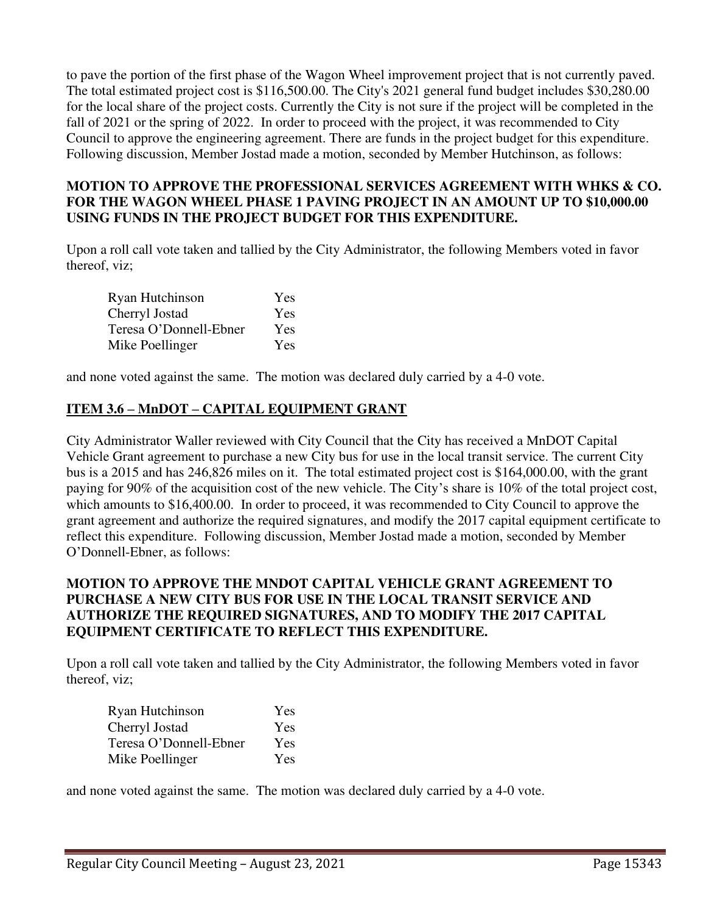to pave the portion of the first phase of the Wagon Wheel improvement project that is not currently paved. The total estimated project cost is \$116,500.00. The City's 2021 general fund budget includes \$30,280.00 for the local share of the project costs. Currently the City is not sure if the project will be completed in the fall of 2021 or the spring of 2022. In order to proceed with the project, it was recommended to City Council to approve the engineering agreement. There are funds in the project budget for this expenditure. Following discussion, Member Jostad made a motion, seconded by Member Hutchinson, as follows:

## **MOTION TO APPROVE THE PROFESSIONAL SERVICES AGREEMENT WITH WHKS & CO. FOR THE WAGON WHEEL PHASE 1 PAVING PROJECT IN AN AMOUNT UP TO \$10,000.00 USING FUNDS IN THE PROJECT BUDGET FOR THIS EXPENDITURE.**

Upon a roll call vote taken and tallied by the City Administrator, the following Members voted in favor thereof, viz;

| Ryan Hutchinson        | Yes |
|------------------------|-----|
| Cherryl Jostad         | Yes |
| Teresa O'Donnell-Ebner | Yes |
| Mike Poellinger        | Yes |

and none voted against the same. The motion was declared duly carried by a 4-0 vote.

# **ITEM 3.6 – MnDOT – CAPITAL EQUIPMENT GRANT**

City Administrator Waller reviewed with City Council that the City has received a MnDOT Capital Vehicle Grant agreement to purchase a new City bus for use in the local transit service. The current City bus is a 2015 and has 246,826 miles on it. The total estimated project cost is \$164,000.00, with the grant paying for 90% of the acquisition cost of the new vehicle. The City's share is 10% of the total project cost, which amounts to \$16,400.00. In order to proceed, it was recommended to City Council to approve the grant agreement and authorize the required signatures, and modify the 2017 capital equipment certificate to reflect this expenditure. Following discussion, Member Jostad made a motion, seconded by Member O'Donnell-Ebner, as follows:

## **MOTION TO APPROVE THE MNDOT CAPITAL VEHICLE GRANT AGREEMENT TO PURCHASE A NEW CITY BUS FOR USE IN THE LOCAL TRANSIT SERVICE AND AUTHORIZE THE REQUIRED SIGNATURES, AND TO MODIFY THE 2017 CAPITAL EQUIPMENT CERTIFICATE TO REFLECT THIS EXPENDITURE.**

Upon a roll call vote taken and tallied by the City Administrator, the following Members voted in favor thereof, viz;

| Ryan Hutchinson        | <b>Yes</b> |
|------------------------|------------|
| Cherryl Jostad         | Yes        |
| Teresa O'Donnell-Ebner | Yes        |
| Mike Poellinger        | Yes        |

and none voted against the same. The motion was declared duly carried by a 4-0 vote.